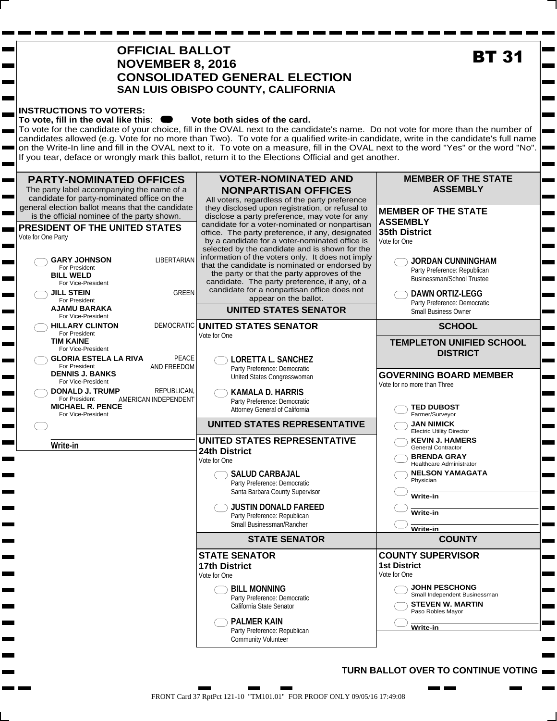| <b>OFFICIAL BALLOT</b><br><b>NOVEMBER 8, 2016</b><br><b>CONSOLIDATED GENERAL ELECTION</b><br>SAN LUIS OBISPO COUNTY, CALIFORNIA                                                                                                                                                                                                                                                                                                                                             | <b>BT 31</b>                                                                                                                                                                                                                                                                                                                                                                                                                                                                                                                                                                                                                                                                                                                            |                                                                                                                                                                                                                                                                                                                                                                                                                 |
|-----------------------------------------------------------------------------------------------------------------------------------------------------------------------------------------------------------------------------------------------------------------------------------------------------------------------------------------------------------------------------------------------------------------------------------------------------------------------------|-----------------------------------------------------------------------------------------------------------------------------------------------------------------------------------------------------------------------------------------------------------------------------------------------------------------------------------------------------------------------------------------------------------------------------------------------------------------------------------------------------------------------------------------------------------------------------------------------------------------------------------------------------------------------------------------------------------------------------------------|-----------------------------------------------------------------------------------------------------------------------------------------------------------------------------------------------------------------------------------------------------------------------------------------------------------------------------------------------------------------------------------------------------------------|
| <b>INSTRUCTIONS TO VOTERS:</b><br>To vote, fill in the oval like this: I<br>٠                                                                                                                                                                                                                                                                                                                                                                                               | Vote both sides of the card.<br>To vote for the candidate of your choice, fill in the OVAL next to the candidate's name. Do not vote for more than the number of<br>candidates allowed (e.g. Vote for no more than Two). To vote for a qualified write-in candidate, write in the candidate's full name<br>on the Write-In line and fill in the OVAL next to it. To vote on a measure, fill in the OVAL next to the word "Yes" or the word "No".<br>If you tear, deface or wrongly mark this ballot, return it to the Elections Official and get another.                                                                                                                                                                               |                                                                                                                                                                                                                                                                                                                                                                                                                 |
| <b>PARTY-NOMINATED OFFICES</b><br>The party label accompanying the name of a<br>candidate for party-nominated office on the<br>general election ballot means that the candidate<br>is the official nominee of the party shown.<br><b>PRESIDENT OF THE UNITED STATES</b><br>Vote for One Party<br><b>LIBERTARIAN</b><br><b>GARY JOHNSON</b><br>For President<br><b>BILL WELD</b><br>For Vice-President<br><b>GREEN</b><br><b>JILL STEIN</b><br>For President<br>AJAMU BARAKA | <b>VOTER-NOMINATED AND</b><br><b>NONPARTISAN OFFICES</b><br>All voters, regardless of the party preference<br>they disclosed upon registration, or refusal to<br>disclose a party preference, may vote for any<br>candidate for a voter-nominated or nonpartisan<br>office. The party preference, if any, designated<br>by a candidate for a voter-nominated office is<br>selected by the candidate and is shown for the<br>information of the voters only. It does not imply<br>that the candidate is nominated or endorsed by<br>the party or that the party approves of the<br>candidate. The party preference, if any, of a<br>candidate for a nonpartisan office does not<br>appear on the ballot.<br><b>UNITED STATES SENATOR</b> | <b>MEMBER OF THE STATE</b><br>$\overline{\phantom{a}}$<br><b>ASSEMBLY</b><br>$\overline{\phantom{a}}$<br><b>MEMBER OF THE STATE</b><br>$\sim 100$<br><b>ASSEMBLY</b><br>35th District<br>Vote for One<br><b>JORDAN CUNNINGHAM</b><br>Party Preference: Republican<br>Businessman/School Trustee<br><b>The Contract</b><br><b>DAWN ORTIZ-LEGG</b><br>Party Preference: Democratic<br><b>Small Business Owner</b> |
| For Vice-President<br><b>HILLARY CLINTON</b><br>For President                                                                                                                                                                                                                                                                                                                                                                                                               | <b>DEMOCRATIC UNITED STATES SENATOR</b>                                                                                                                                                                                                                                                                                                                                                                                                                                                                                                                                                                                                                                                                                                 | <b>SCHOOL</b>                                                                                                                                                                                                                                                                                                                                                                                                   |
| <b>TIM KAINE</b><br>For Vice-President<br>PEACE<br><b>GLORIA ESTELA LA RIVA</b><br>AND FREEDOM<br>For President<br><b>DENNIS J. BANKS</b><br>For Vice-President<br>REPUBLICAN,<br>DONALD J. TRUMP<br>AMERICAN INDEPENDENT<br>For President<br>MICHAEL R. PENCE<br>For Vice-President                                                                                                                                                                                        | Vote for One<br><b>LORETTA L. SANCHEZ</b><br>Party Preference: Democratic<br>United States Congresswoman<br><b>KAMALA D. HARRIS</b><br>Party Preference: Democratic<br>Attorney General of California                                                                                                                                                                                                                                                                                                                                                                                                                                                                                                                                   | <b>TEMPLETON UNIFIED SCHOOL</b><br><b>The Contract</b><br><b>DISTRICT</b><br><b>Contract</b><br><b>GOVERNING BOARD MEMBER</b><br><b>The Contract</b><br>Vote for no more than Three<br><b>TED DUBOST</b><br>Farmer/Surveyor                                                                                                                                                                                     |
|                                                                                                                                                                                                                                                                                                                                                                                                                                                                             | <b>UNITED STATES REPRESENTATIVE</b>                                                                                                                                                                                                                                                                                                                                                                                                                                                                                                                                                                                                                                                                                                     | <b>JAN NIMICK</b><br><b>Electric Utility Director</b>                                                                                                                                                                                                                                                                                                                                                           |
| Write-in                                                                                                                                                                                                                                                                                                                                                                                                                                                                    | UNITED STATES REPRESENTATIVE<br>24th District<br>Vote for One<br><b>SALUD CARBAJAL</b><br>Party Preference: Democratic<br>Santa Barbara County Supervisor<br><b>JUSTIN DONALD FAREED</b><br>Party Preference: Republican<br>Small Businessman/Rancher                                                                                                                                                                                                                                                                                                                                                                                                                                                                                   | <b>KEVIN J. HAMERS</b><br><b>General Contractor</b><br><b>BRENDA GRAY</b><br><b>Contract</b><br><b>Healthcare Administrator</b><br><b>NELSON YAMAGATA</b><br>Physician<br>Write-in<br>Write-in<br>Write-in                                                                                                                                                                                                      |
|                                                                                                                                                                                                                                                                                                                                                                                                                                                                             | <b>STATE SENATOR</b>                                                                                                                                                                                                                                                                                                                                                                                                                                                                                                                                                                                                                                                                                                                    | <b>COUNTY</b><br><b>The College</b>                                                                                                                                                                                                                                                                                                                                                                             |
|                                                                                                                                                                                                                                                                                                                                                                                                                                                                             | <b>STATE SENATOR</b><br><b>17th District</b><br>Vote for One<br><b>BILL MONNING</b><br>Party Preference: Democratic<br>California State Senator<br><b>PALMER KAIN</b>                                                                                                                                                                                                                                                                                                                                                                                                                                                                                                                                                                   | <b>COUNTY SUPERVISOR</b><br><b>Contract</b><br><b>1st District</b><br>Vote for One<br><b>The State</b><br><b>JOHN PESCHONG</b><br>$\sim 100$<br>Small Independent Businessman<br><b>STEVEN W. MARTIN</b><br>Paso Robles Mayor                                                                                                                                                                                   |

a sa

**The Co** 

m in **. .** 

#### **TURN BALLOT OVER TO CONTINUE VOTING**

 $\mathbf{m}$  and

Ŧ.

 $\mathbf{r}$ 

 $\mathbf{r}$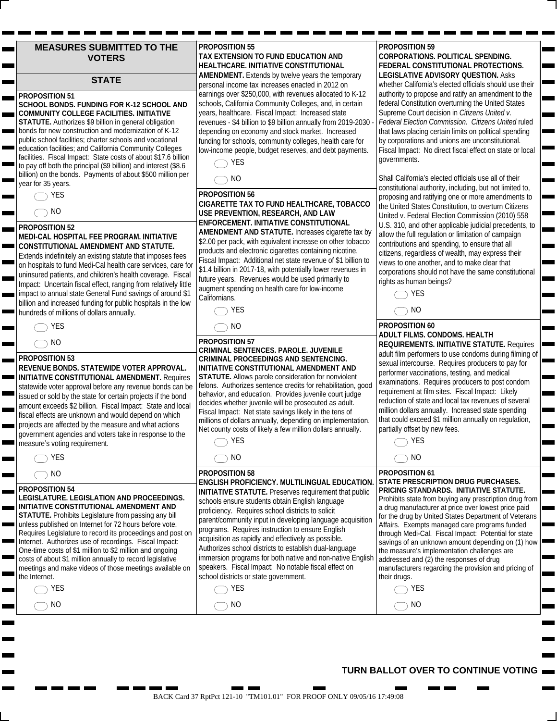| <b>MEASURES SUBMITTED TO THE</b> |  |
|----------------------------------|--|
| <b>VOTERS</b>                    |  |

#### **STATE**

#### **PROPOSITION 51**

**SCHOOL BONDS. FUNDING FOR K-12 SCHOOL AND COMMUNITY COLLEGE FACILITIES. INITIATIVE STATUTE.** Authorizes \$9 billion in general obligation bonds for new construction and modernization of K-12 public school facilities; charter schools and vocational education facilities; and California Community Colleges facilities. Fiscal Impact: State costs of about \$17.6 billion to pay off both the principal (\$9 billion) and interest (\$8.6 billion) on the bonds. Payments of about \$500 million per year for 35 years.

ь

 $\blacksquare$ 

## **PROPOSITION 52**

#### **MEDI-CAL HOSPITAL FEE PROGRAM. INITIATIVE CONSTITUTIONAL AMENDMENT AND STATUTE.**

Extends indefinitely an existing statute that imposes fees on hospitals to fund Medi-Cal health care services, care for uninsured patients, and children's health coverage. Fiscal Impact: Uncertain fiscal effect, ranging from relatively little impact to annual state General Fund savings of around \$1 billion and increased funding for public hospitals in the low hundreds of millions of dollars annually.

#### **PROPOSITION 53**

#### **REVENUE BONDS. STATEWIDE VOTER APPROVAL. INITIATIVE CONSTITUTIONAL AMENDMENT.** Requires statewide voter approval before any revenue bonds can be issued or sold by the state for certain projects if the bond amount exceeds \$2 billion. Fiscal Impact: State and local fiscal effects are unknown and would depend on which projects are affected by the measure and what actions government agencies and voters take in response to the measure's voting requirement.

|  | ٠ |  |
|--|---|--|

#### **PROPOSITION 54**

 $\bigcirc$  YES  $\bigcirc$  NO

#### **LEGISLATURE. LEGISLATION AND PROCEEDINGS. INITIATIVE CONSTITUTIONAL AMENDMENT AND**

**STATUTE.** Prohibits Legislature from passing any bill unless published on Internet for 72 hours before vote. Requires Legislature to record its proceedings and post on Internet. Authorizes use of recordings. Fiscal Impact: One-time costs of \$1 million to \$2 million and ongoing costs of about \$1 million annually to record legislative meetings and make videos of those meetings available on the Internet.

| PROPOSITION 55                                           |
|----------------------------------------------------------|
| TAX EXTENSION TO FUND EDUCATION AND                      |
| HEALTHCARE. INITIATIVE CONSTITUTIONAL                    |
| <b>AMENDMENT.</b> Extends by twelve years the temporary  |
| personal income tax increases enacted in 2012 on         |
| earnings over \$250,000, with revenues allocated to K-12 |
| schools, California Community Colleges, and, in certain  |
| years, healthcare. Fiscal Impact: Increased state        |

revenues - \$4 billion to \$9 billion annually from 2019-2030 depending on economy and stock market. Increased funding for schools, community colleges, health care for low-income people, budget reserves, and debt payments.



#### **PROPOSITION 56**

**CIGARETTE TAX TO FUND HEALTHCARE, TOBACCO USE PREVENTION, RESEARCH, AND LAW ENFORCEMENT. INITIATIVE CONSTITUTIONAL AMENDMENT AND STATUTE.** Increases cigarette tax by \$2.00 per pack, with equivalent increase on other tobacco products and electronic cigarettes containing nicotine. Fiscal Impact: Additional net state revenue of \$1 billion to \$1.4 billion in 2017-18, with potentially lower revenues in future years. Revenues would be used primarily to augment spending on health care for low-income Californians.

| -       |
|---------|
| ١I<br>ı |

**PROPOSITION 57 CRIMINAL SENTENCES. PAROLE. JUVENILE CRIMINAL PROCEEDINGS AND SENTENCING. INITIATIVE CONSTITUTIONAL AMENDMENT AND STATUTE.** Allows parole consideration for nonviolent felons. Authorizes sentence credits for rehabilitation, good behavior, and education. Provides juvenile court judge decides whether juvenile will be prosecuted as adult. Fiscal Impact: Net state savings likely in the tens of millions of dollars annually, depending on implementation. Net county costs of likely a few million dollars annually.

 $\bigcirc$  yes  $\bigcap$  NO

| $\sim$ $\sim$ | ٠<br>. |
|---------------|--------|

#### **PROPOSITION 58 ENGLISH PROFICIENCY. MULTILINGUAL EDUCATION. INITIATIVE STATUTE.** Preserves requirement that public schools ensure students obtain English language proficiency. Requires school districts to solicit parent/community input in developing language acquisition programs. Requires instruction to ensure English acquisition as rapidly and effectively as possible. Authorizes school districts to establish dual-language immersion programs for both native and non-native English speakers. Fiscal Impact: No notable fiscal effect on school districts or state government.

### $\bigcap$  YES  $\bigcirc$  NO

#### **PROPOSITION 59 CORPORATIONS. POLITICAL SPENDING. FEDERAL CONSTITUTIONAL PROTECTIONS. LEGISLATIVE ADVISORY QUESTION.** Asks

whether California's elected officials should use their authority to propose and ratify an amendment to the federal Constitution overturning the United States Supreme Court decision in *Citizens United v. Federal Election Commission. Citizens United* ruled that laws placing certain limits on political spending by corporations and unions are unconstitutional. Fiscal Impact: No direct fiscal effect on state or local governments.

Shall California's elected officials use all of their constitutional authority, including, but not limited to, proposing and ratifying one or more amendments to the United States Constitution, to overturn Citizens United v. Federal Election Commission (2010) 558 U.S. 310, and other applicable judicial precedents, to allow the full regulation or limitation of campaign contributions and spending, to ensure that all citizens, regardless of wealth, may express their views to one another, and to make clear that corporations should not have the same constitutional rights as human beings?



## $\bigcirc$  NO

#### **PROPOSITION 60 ADULT FILMS. CONDOMS. HEALTH REQUIREMENTS. INITIATIVE STATUTE.** Requires adult film performers to use condoms during filming of sexual intercourse. Requires producers to pay for performer vaccinations, testing, and medical examinations. Requires producers to post condom requirement at film sites. Fiscal Impact: Likely reduction of state and local tax revenues of several million dollars annually. Increased state spending that could exceed \$1 million annually on regulation, partially offset by new fees.



#### **PROPOSITION 61 STATE PRESCRIPTION DRUG PURCHASES. PRICING STANDARDS. INITIATIVE STATUTE.**  Prohibits state from buying any prescription drug from a drug manufacturer at price over lowest price paid for the drug by United States Department of Veterans Affairs. Exempts managed care programs funded through Medi-Cal. Fiscal Impact: Potential for state savings of an unknown amount depending on (1) how the measure's implementation challenges are addressed and (2) the responses of drug manufacturers regarding the provision and pricing of their drugs.



 $\bigcirc$  NO

### **TURN BALLOT OVER TO CONTINUE VOTING**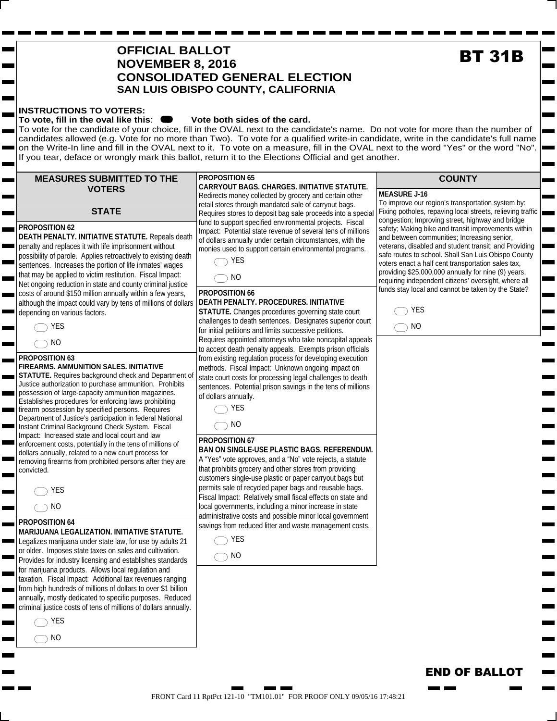# $\bigcirc$  YES  $\bigcirc$  NO permits sale of recycled paper bags and reusable bags. Fiscal Impact: Relatively small fiscal effects on state and local governments, including a minor increase in state administrative costs and possible minor local government savings from reduced litter and waste management costs. FRONT Card 11 RptPct 121-10 "TM101.01" FOR PROOF ONLY 09/05/16 17:48:21

**STATE PROPOSITION 62 DEATH PENALTY. INITIATIVE STATUTE.** Repeals death penalty and replaces it with life imprisonment without possibility of parole. Applies retroactively to existing death sentences. Increases the portion of life inmates' wages that may be applied to victim restitution. Fiscal Impact: Net ongoing reduction in state and county criminal justice costs of around \$150 million annually within a few years, although the impact could vary by tens of millions of dollars

**MEASURES SUBMITTED TO THE VOTERS**

**INSTRUCTIONS TO VOTERS:** 

 $\bigcap$  YES depending on various factors.

 $\bigcirc$  NO

#### **PROPOSITION 63**

**FIREARMS. AMMUNITION SALES. INITIATIVE STATUTE.** Requires background check and Department of Justice authorization to purchase ammunition. Prohibits possession of large-capacity ammunition magazines. Establishes procedures for enforcing laws prohibiting firearm possession by specified persons. Requires Department of Justice's participation in federal National Instant Criminal Background Check System. Fiscal Impact: Increased state and local court and law enforcement costs, potentially in the tens of millions of dollars annually, related to a new court process for removing firearms from prohibited persons after they are convicted.

|--|--|

 $\bigcirc$  NO

#### **PROPOSITION 64**

#### **MARIJUANA LEGALIZATION. INITIATIVE STATUTE.**

Legalizes marijuana under state law, for use by adults 21 or older. Imposes state taxes on sales and cultivation. Provides for industry licensing and establishes standards for marijuana products. Allows local regulation and taxation. Fiscal Impact: Additional tax revenues ranging from high hundreds of millions of dollars to over \$1 billion annually, mostly dedicated to specific purposes. Reduced criminal justice costs of tens of millions of dollars annually.

 $\bigcirc$  YES

m. **The Contract** 

O NO

#### **PROPOSITION 65**

If you tear, deface or wrongly mark this ballot, return it to the Elections Official and get another.

**CONSOLIDATED GENERAL ELECTION SAN LUIS OBISPO COUNTY, CALIFORNIA**

**OFFICIAL BALLOT NOVEMBER 8, 2016**

To vote, fill in the oval like this:  $\bullet\bullet\bullet$  Vote both sides of the card.

#### **CARRYOUT BAGS. CHARGES. INITIATIVE STATUTE.**  Redirects money collected by grocery and certain other retail stores through mandated sale of carryout bags. fund to support specified environmental projects. Fiscal

To vote for the candidate of your choice, fill in the OVAL next to the candidate's name. Do not vote for more than the number of candidates allowed (e.g. Vote for no more than Two). To vote for a qualified write-in candidate, write in the candidate's full name on the Write-In line and fill in the OVAL next to it. To vote on a measure, fill in the OVAL next to the word "Yes" or the word "No".

> Requires stores to deposit bag sale proceeds into a special Impact: Potential state revenue of several tens of millions of dollars annually under certain circumstances, with the monies used to support certain environmental programs.

 $\bigcirc$  yes  $\bigcirc$  NO

#### **PROPOSITION 66 DEATH PENALTY. PROCEDURES. INITIATIVE**

**STATUTE.** Changes procedures governing state court challenges to death sentences. Designates superior court for initial petitions and limits successive petitions. Requires appointed attorneys who take noncapital appeals to accept death penalty appeals. Exempts prison officials from existing regulation process for developing execution methods. Fiscal Impact: Unknown ongoing impact on state court costs for processing legal challenges to death sentences. Potential prison savings in the tens of millions of dollars annually.

 $\bigcap$  YES

 $\bigcirc$  NO

#### **PROPOSITION 67 BAN ON SINGLE-USE PLASTIC BAGS. REFERENDUM.**

A "Yes" vote approves, and a "No" vote rejects, a statute that prohibits grocery and other stores from providing customers single-use plastic or paper carryout bags but

To improve our region's transportation system by: Fixing potholes, repaving local streets, relieving traffic congestion; Improving street, highway and bridge safety; Making bike and transit improvements within and between communities; Increasing senior, veterans, disabled and student transit; and Providing safe routes to school. Shall San Luis Obispo County voters enact a half cent transportation sales tax, providing \$25,000,000 annually for nine (9) years, requiring independent citizens' oversight, where all funds stay local and cannot be taken by the State? **EXECUTE:**<br>
The candidate's full naison of "Yes" or the word "New Yes" or the word "New Yes" or the word "New Yes" (releving local strects, releving the change send rowing street, highway and bridge independent and technic

 $\bigcirc$  YES  $\bigcirc$  NO

### **COUNTY**

#### **MEASURE J-16**



<u>and the second</u>

**END OF BALLOT** 



E

## **BT 31B**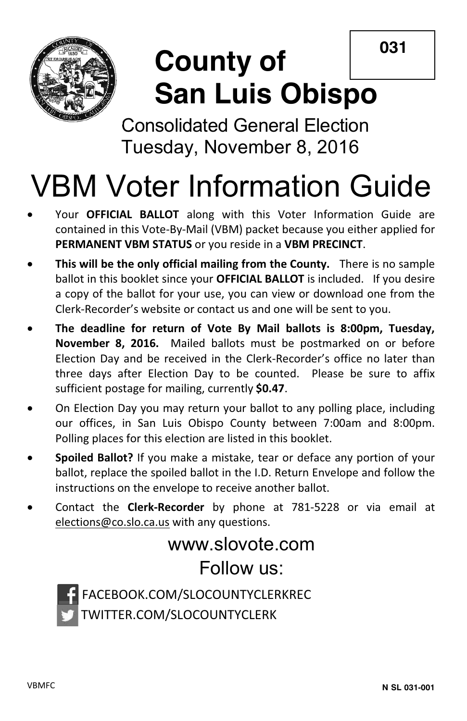**031**



## **County of San Luis Obispo**

Consolidated General Election Tuesday, November 8, 2016

# VBM Voter Information Guide

- Your **OFFICIAL BALLOT** along with this Voter Information Guide are contained in this Vote-By-Mail (VBM) packet because you either applied for **PERMANENT VBM STATUS** or you reside in a **VBM PRECINCT**.
- **This will be the only official mailing from the County.** There is no sample ballot in this booklet since your **OFFICIAL BALLOT** is included. If you desire a copy of the ballot for your use, you can view or download one from the Clerk-Recorder's website or contact us and one will be sent to you.
- x **The deadline for return of Vote By Mail ballots is 8:00pm, Tuesday, November 8, 2016.** Mailed ballots must be postmarked on or before Election Day and be received in the Clerk-Recorder's office no later than three days after Election Day to be counted. Please be sure to affix sufficient postage for mailing, currently **\$0.47**.
- On Election Day you may return your ballot to any polling place, including our offices, in San Luis Obispo County between 7:00am and 8:00pm. Polling places for this election are listed in this booklet.
- x **Spoiled Ballot?** If you make a mistake, tear or deface any portion of your ballot, replace the spoiled ballot in the I.D. Return Envelope and follow the instructions on the envelope to receive another ballot.
- x Contact the **Clerk-Recorder** by phone at 781-5228 or via email at elections@co.slo.ca.us with any questions.

## www.slovote.com Follow us:



FACEBOOK.COM/SLOCOUNTYCLERKREC TWITTER.COM/SLOCOUNTYCLERK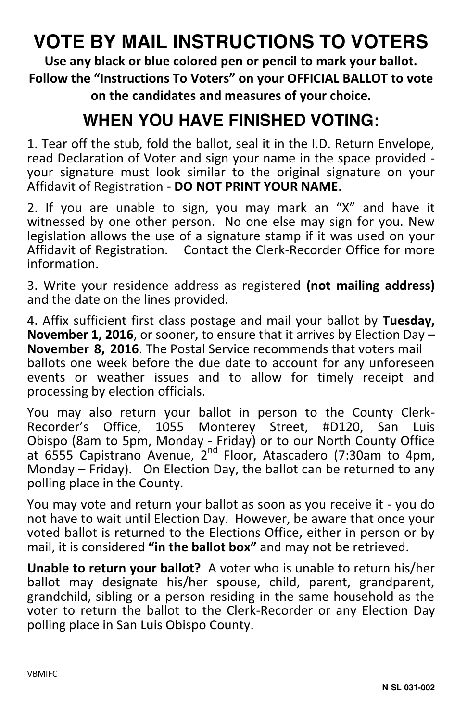## **VOTE BY MAIL INSTRUCTIONS TO VOTERS**

**Use any black or blue colored pen or pencil to mark your ballot. Follow the "Instructions To Voters" on your OFFICIAL BALLOT to vote on the candidates and measures of your choice.** 

## **WHEN YOU HAVE FINISHED VOTING:**

1. Tear off the stub, fold the ballot, seal it in the I.D. Return Envelope, read Declaration of Voter and sign your name in the space provided your signature must look similar to the original signature on your Affidavit of Registration - **DO NOT PRINT YOUR NAME**.

2. If you are unable to sign, you may mark an "X" and have it witnessed by one other person. No one else may sign for you. New legislation allows the use of a signature stamp if it was used on your Affidavit of Registration. Contact the Clerk-Recorder Office for more information.

3. Write your residence address as registered **(not mailing address)** and the date on the lines provided.

4. Affix sufficient first class postage and mail your ballot by **Tuesday, November 1, 2016**, or sooner, to ensure that it arrives by Election Day – **November 8, 2016**. The Postal Service recommends that voters mail ballots one week before the due date to account for any unforeseen events or weather issues and to allow for timely receipt and processing by election officials.

You may also return your ballot in person to the County Clerk-Recorder's Office, 1055 Monterey Street, #D120, San Luis Obispo (8am to 5pm, Monday - Friday) or to our North County Office at 6555 Capistrano Avenue, 2nd Floor, Atascadero (7:30am to 4pm, Monday – Friday). On Election Day, the ballot can be returned to any polling place in the County.

You may vote and return your ballot as soon as you receive it - you do not have to wait until Election Day. However, be aware that once your voted ballot is returned to the Elections Office, either in person or by mail, it is considered **"in the ballot box"** and may not be retrieved.

**Unable to return your ballot?** A voter who is unable to return his/her ballot may designate his/her spouse, child, parent, grandparent, grandchild, sibling or a person residing in the same household as the voter to return the ballot to the Clerk-Recorder or any Election Day polling place in San Luis Obispo County.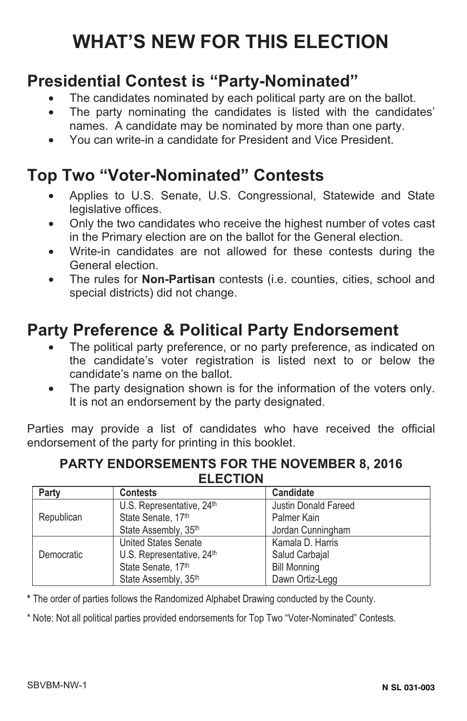## **WHAT'S NEW FOR THIS ELECTION**

## **Presidential Contest is "Party-Nominated"**

- The candidates nominated by each political party are on the ballot.
- The party nominating the candidates is listed with the candidates' names. A candidate may be nominated by more than one party.
- You can write-in a candidate for President and Vice President.

## **Top Two "Voter-Nominated" Contests**

- Applies to U.S. Senate, U.S. Congressional, Statewide and State legislative offices.
- Only the two candidates who receive the highest number of votes cast in the Primary election are on the ballot for the General election.
- Write-in candidates are not allowed for these contests during the General election.
- The rules for **Non-Partisan** contests (i.e. counties, cities, school and special districts) did not change.

## **Party Preference & Political Party Endorsement**

- The political party preference, or no party preference, as indicated on the candidate's voter registration is listed next to or below the candidate's name on the ballot.
- The party designation shown is for the information of the voters only. It is not an endorsement by the party designated.

Parties may provide a list of candidates who have received the official endorsement of the party for printing in this booklet.

#### **PARTY ENDORSEMENTS FOR THE NOVEMBER 8, 2016 ELECTION**

| Party      | <b>Contests</b>                       | Candidate                   |
|------------|---------------------------------------|-----------------------------|
|            | U.S. Representative, 24 <sup>th</sup> | <b>Justin Donald Fareed</b> |
| Republican | State Senate, 17th                    | Palmer Kain                 |
|            | State Assembly, 35th                  | Jordan Cunningham           |
|            | <b>United States Senate</b>           | Kamala D. Harris            |
| Democratic | U.S. Representative, 24th             | Salud Carbajal              |
|            | State Senate, 17th                    | <b>Bill Monning</b>         |
|            | State Assembly, 35th                  | Dawn Ortiz-Legg             |

**\*** The order of parties follows the Randomized Alphabet Drawing conducted by the County.

\* Note: Not all political parties provided endorsements for Top Two "Voter-Nominated" Contests.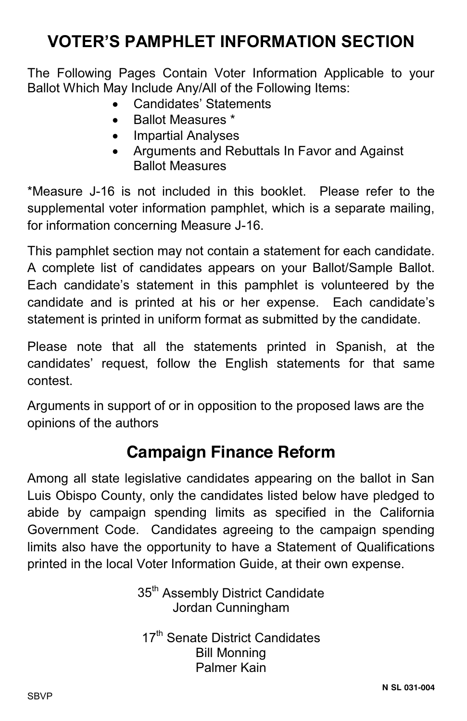## **VOTER'S PAMPHLET INFORMATION SECTION**

The Following Pages Contain Voter Information Applicable to your Ballot Which May Include Any/All of the Following Items:

- Candidates' Statements
- Ballot Measures \*
- Impartial Analyses
- x Arguments and Rebuttals In Favor and Against Ballot Measures

\*Measure J-16 is not included in this booklet. Please refer to the supplemental voter information pamphlet, which is a separate mailing, for information concerning Measure J-16.

This pamphlet section may not contain a statement for each candidate. A complete list of candidates appears on your Ballot/Sample Ballot. Each candidate's statement in this pamphlet is volunteered by the candidate and is printed at his or her expense. Each candidate's statement is printed in uniform format as submitted by the candidate.

Please note that all the statements printed in Spanish, at the candidates' request, follow the English statements for that same contest.

Arguments in support of or in opposition to the proposed laws are the opinions of the authors

## **Campaign Finance Reform**

Among all state legislative candidates appearing on the ballot in San Luis Obispo County, only the candidates listed below have pledged to abide by campaign spending limits as specified in the California Government Code. Candidates agreeing to the campaign spending limits also have the opportunity to have a Statement of Qualifications printed in the local Voter Information Guide, at their own expense.

> 35<sup>th</sup> Assembly District Candidate Jordan Cunningham

17<sup>th</sup> Senate District Candidates Bill Monning Palmer Kain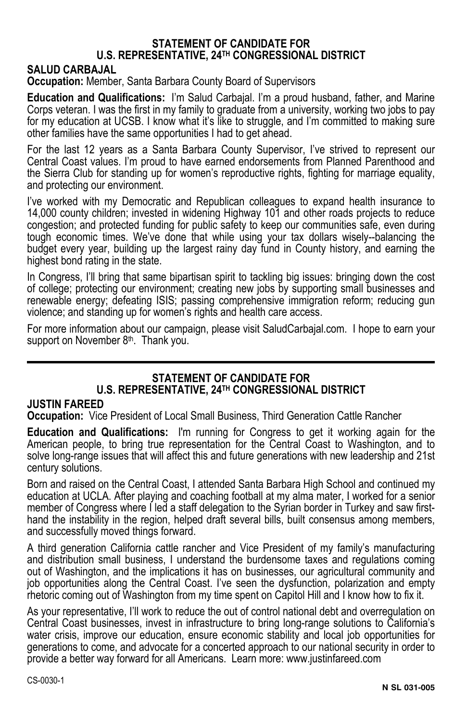#### **STATEMENT OF CANDIDATE FOR U.S. REPRESENTATIVE, 24TH CONGRESSIONAL DISTRICT**

#### **SALUD CARBAJAL**

**Occupation:** Member, Santa Barbara County Board of Supervisors

**Education and Qualifications:** I'm Salud Carbajal. I'm a proud husband, father, and Marine Corps veteran. I was the first in my family to graduate from a university, working two jobs to pay for my education at UCSB. I know what it's like to struggle, and I'm committed to making sure other families have the same opportunities I had to get ahead.

For the last 12 years as a Santa Barbara County Supervisor, I've strived to represent our Central Coast values. I'm proud to have earned endorsements from Planned Parenthood and the Sierra Club for standing up for women's reproductive rights, fighting for marriage equality, and protecting our environment.

I've worked with my Democratic and Republican colleagues to expand health insurance to 14,000 county children; invested in widening Highway 101 and other roads projects to reduce congestion; and protected funding for public safety to keep our communities safe, even during tough economic times. We've done that while using your tax dollars wisely--balancing the budget every year, building up the largest rainy day fund in County history, and earning the highest bond rating in the state.

In Congress, I'll bring that same bipartisan spirit to tackling big issues: bringing down the cost of college; protecting our environment; creating new jobs by supporting small businesses and renewable energy; defeating ISIS; passing comprehensive immigration reform; reducing gun violence; and standing up for women's rights and health care access.

For more information about our campaign, please visit SaludCarbajal.com. I hope to earn your support on November 8<sup>th</sup>. Thank you.

#### **STATEMENT OF CANDIDATE FOR U.S. REPRESENTATIVE, 24TH CONGRESSIONAL DISTRICT**

#### **JUSTIN FAREED**

**Occupation:** Vice President of Local Small Business, Third Generation Cattle Rancher

**Education and Qualifications:** I'm running for Congress to get it working again for the American people, to bring true representation for the Central Coast to Washington, and to solve long-range issues that will affect this and future generations with new leadership and 21st century solutions.

Born and raised on the Central Coast, I attended Santa Barbara High School and continued my education at UCLA. After playing and coaching football at my alma mater, I worked for a senior member of Congress where I led a staff delegation to the Syrian border in Turkey and saw firsthand the instability in the region, helped draft several bills, built consensus among members, and successfully moved things forward.

A third generation California cattle rancher and Vice President of my family's manufacturing and distribution small business, I understand the burdensome taxes and regulations coming out of Washington, and the implications it has on businesses, our agricultural community and job opportunities along the Central Coast. I've seen the dysfunction, polarization and empty rhetoric coming out of Washington from my time spent on Capitol Hill and I know how to fix it.

As your representative, I'll work to reduce the out of control national debt and overregulation on Central Coast businesses, invest in infrastructure to bring long-range solutions to California's water crisis, improve our education, ensure economic stability and local job opportunities for generations to come, and advocate for a concerted approach to our national security in order to provide a better way forward for all Americans. Learn more: www.justinfareed.com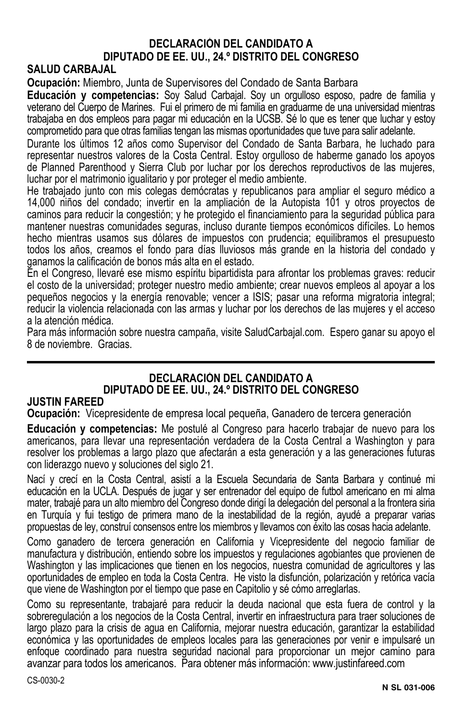#### **DECLARACIÓN DEL CANDIDATO A DIPUTADO DE EE. UU., 24.º DISTRITO DEL CONGRESO**

#### **SALUD CARBAJAL**

**Ocupación:** Miembro, Junta de Supervisores del Condado de Santa Barbara

**Educación y competencias:** Soy Salud Carbajal. Soy un orgulloso esposo, padre de familia y veterano del Cuerpo de Marines. Fui el primero de mi familia en graduarme de una universidad mientras trabajaba en dos empleos para pagar mi educación en la UCSB. Sé lo que es tener que luchar y estoy comprometido para que otras familias tengan las mismas oportunidades que tuve para salir adelante.

Durante los últimos 12 años como Supervisor del Condado de Santa Barbara, he luchado para representar nuestros valores de la Costa Central. Estoy orgulloso de haberme ganado los apoyos de Planned Parenthood y Sierra Club por luchar por los derechos reproductivos de las mujeres, luchar por el matrimonio igualitario y por proteger el medio ambiente.

He trabajado junto con mis colegas demócratas y republicanos para ampliar el seguro médico a 14,000 niños del condado; invertir en la ampliación de la Autopista 101 y otros proyectos de caminos para reducir la congestión; y he protegido el financiamiento para la seguridad pública para mantener nuestras comunidades seguras, incluso durante tiempos económicos difíciles. Lo hemos hecho mientras usamos sus dólares de impuestos con prudencia; equilibramos el presupuesto todos los años, creamos el fondo para días lluviosos más grande en la historia del condado y ganamos la calificación de bonos más alta en el estado.

En el Congreso, llevaré ese mismo espíritu bipartidista para afrontar los problemas graves: reducir el costo de la universidad; proteger nuestro medio ambiente; crear nuevos empleos al apoyar a los pequeños negocios y la energía renovable; vencer a ISIS; pasar una reforma migratoria integral; reducir la violencia relacionada con las armas y luchar por los derechos de las mujeres y el acceso a la atención médica.

Para más información sobre nuestra campaña, visite SaludCarbajal.com. Espero ganar su apoyo el 8 de noviembre. Gracias.

#### **DECLARACIÓN DEL CANDIDATO A DIPUTADO DE EE. UU., 24.º DISTRITO DEL CONGRESO**

#### **JUSTIN FAREED**

**Ocupación:** Vicepresidente de empresa local pequeña, Ganadero de tercera generación

**Educación y competencias:** Me postulé al Congreso para hacerlo trabajar de nuevo para los americanos, para llevar una representación verdadera de la Costa Central a Washington y para resolver los problemas a largo plazo que afectarán a esta generación y a las generaciones futuras con liderazgo nuevo y soluciones del siglo 21.

Nací y crecí en la Costa Central, asistí a la Escuela Secundaria de Santa Barbara y continué mi educación en la UCLA. Después de jugar y ser entrenador del equipo de futbol americano en mi alma mater, trabajé para un alto miembro del Congreso donde dirigí la delegación del personal a la frontera siria en Turquía y fui testigo de primera mano de la inestabilidad de la región, ayudé a preparar varias propuestas de ley, construí consensos entre los miembros y llevamos con éxito las cosas hacia adelante.

Como ganadero de tercera generación en California y Vicepresidente del negocio familiar de manufactura y distribución, entiendo sobre los impuestos y regulaciones agobiantes que provienen de Washington y las implicaciones que tienen en los negocios, nuestra comunidad de agricultores y las oportunidades de empleo en toda la Costa Centra. He visto la disfunción, polarización y retórica vacía que viene de Washington por el tiempo que pase en Capitolio y sé cómo arreglarlas.

Como su representante, trabajaré para reducir la deuda nacional que esta fuera de control y la sobreregulación a los negocios de la Costa Central, invertir en infraestructura para traer soluciones de largo plazo para la crisis de agua en California, mejorar nuestra educación, garantizar la estabilidad económica y las oportunidades de empleos locales para las generaciones por venir e impulsaré un enfoque coordinado para nuestra seguridad nacional para proporcionar un mejor camino para avanzar para todos los americanos. Para obtener más información: www.justinfareed.com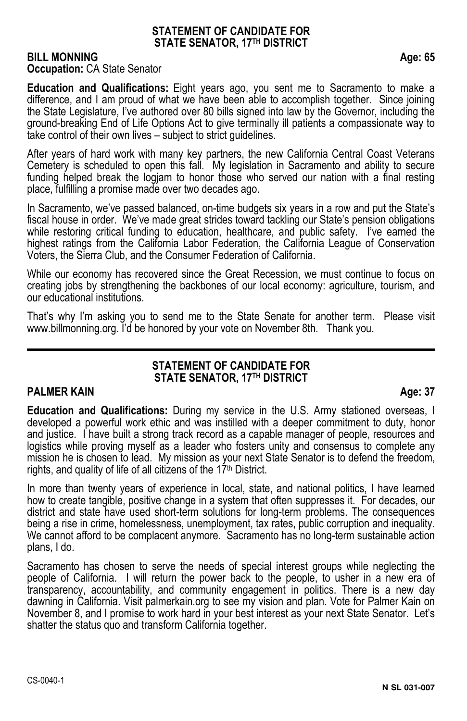#### **STATEMENT OF CANDIDATE FOR STATE SENATOR, 17TH DISTRICT**

#### **BILL MONNING Age: 65 Occupation: CA State Senator**

**Education and Qualifications:** Eight years ago, you sent me to Sacramento to make a difference, and I am proud of what we have been able to accomplish together. Since joining the State Legislature, I've authored over 80 bills signed into law by the Governor, including the ground-breaking End of Life Options Act to give terminally ill patients a compassionate way to take control of their own lives – subject to strict guidelines.

After years of hard work with many key partners, the new California Central Coast Veterans Cemetery is scheduled to open this fall. My legislation in Sacramento and ability to secure funding helped break the logjam to honor those who served our nation with a final resting place, fulfilling a promise made over two decades ago.

In Sacramento, we've passed balanced, on-time budgets six years in a row and put the State's fiscal house in order. We've made great strides toward tackling our State's pension obligations while restoring critical funding to education, healthcare, and public safety. I've earned the highest ratings from the California Labor Federation, the California League of Conservation Voters, the Sierra Club, and the Consumer Federation of California.

While our economy has recovered since the Great Recession, we must continue to focus on creating jobs by strengthening the backbones of our local economy: agriculture, tourism, and our educational institutions.

That's why I'm asking you to send me to the State Senate for another term. Please visit www.billmonning.org. I'd be honored by your vote on November 8th. Thank you.

#### **STATEMENT OF CANDIDATE FOR STATE SENATOR, 17TH DISTRICT**

#### **PALMER KAIN** Age: 37

**Education and Qualifications:** During my service in the U.S. Army stationed overseas, I developed a powerful work ethic and was instilled with a deeper commitment to duty, honor and justice. I have built a strong track record as a capable manager of people, resources and logistics while proving myself as a leader who fosters unity and consensus to complete any mission he is chosen to lead. My mission as your next State Senator is to defend the freedom, rights, and quality of life of all citizens of the 17<sup>th</sup> District.

In more than twenty years of experience in local, state, and national politics, I have learned how to create tangible, positive change in a system that often suppresses it. For decades, our district and state have used short-term solutions for long-term problems. The consequences being a rise in crime, homelessness, unemployment, tax rates, public corruption and inequality. We cannot afford to be complacent anymore. Sacramento has no long-term sustainable action plans, I do.

Sacramento has chosen to serve the needs of special interest groups while neglecting the people of California. I will return the power back to the people, to usher in a new era of transparency, accountability, and community engagement in politics. There is a new day dawning in California. Visit palmerkain.org to see my vision and plan. Vote for Palmer Kain on November 8, and I promise to work hard in your best interest as your next State Senator. Let's shatter the status quo and transform California together.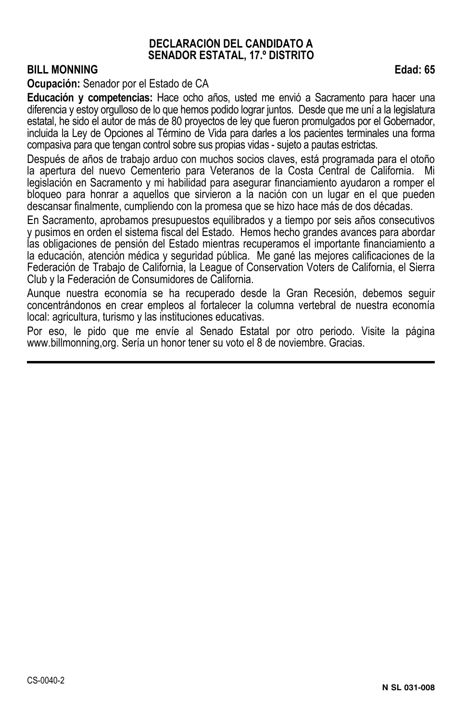#### **DECLARACIÓN DEL CANDIDATO A SENADOR ESTATAL, 17.º DISTRITO**

#### **BILL MONNING** Edad: 65

**Ocupación:** Senador por el Estado de CA

**Educación y competencias:** Hace ocho años, usted me envió a Sacramento para hacer una diferencia y estoy orgulloso de lo que hemos podido lograr juntos. Desde que me uní a la legislatura estatal, he sido el autor de más de 80 proyectos de ley que fueron promulgados por el Gobernador, incluida la Ley de Opciones al Término de Vida para darles a los pacientes terminales una forma compasiva para que tengan control sobre sus propias vidas - sujeto a pautas estrictas.

Después de años de trabajo arduo con muchos socios claves, está programada para el otoño la apertura del nuevo Cementerio para Veteranos de la Costa Central de California. Mi legislación en Sacramento y mi habilidad para asegurar financiamiento ayudaron a romper el bloqueo para honrar a aquellos que sirvieron a la nación con un lugar en el que pueden descansar finalmente, cumpliendo con la promesa que se hizo hace más de dos décadas.

En Sacramento, aprobamos presupuestos equilibrados y a tiempo por seis años consecutivos y pusimos en orden el sistema fiscal del Estado. Hemos hecho grandes avances para abordar las obligaciones de pensión del Estado mientras recuperamos el importante financiamiento a la educación, atención médica y seguridad pública. Me gané las mejores calificaciones de la Federación de Trabajo de California, la League of Conservation Voters de California, el Sierra Club y la Federación de Consumidores de California.

Aunque nuestra economía se ha recuperado desde la Gran Recesión, debemos seguir concentrándonos en crear empleos al fortalecer la columna vertebral de nuestra economía local: agricultura, turismo y las instituciones educativas.

Por eso, le pido que me envíe al Senado Estatal por otro periodo. Visite la página www.billmonning,org. Sería un honor tener su voto el 8 de noviembre. Gracias.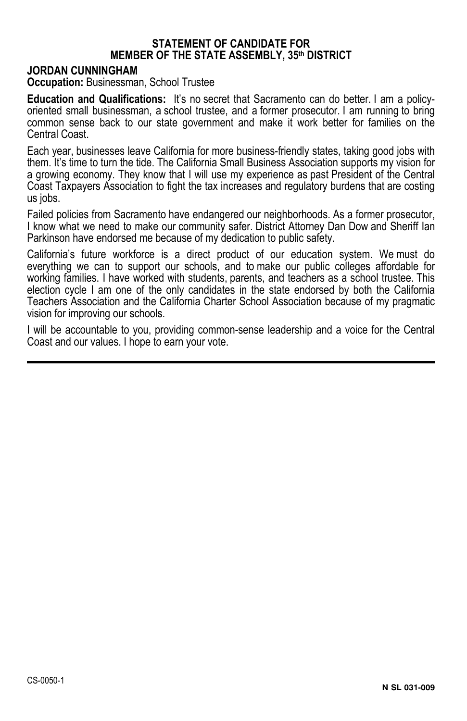#### **STATEMENT OF CANDIDATE FOR MEMBER OF THE STATE ASSEMBLY, 35th DISTRICT**

#### **JORDAN CUNNINGHAM**

**Occupation: Businessman, School Trustee** 

**Education and Qualifications:** It's no secret that Sacramento can do better. I am a policyoriented small businessman, a school trustee, and a former prosecutor. I am running to bring common sense back to our state government and make it work better for families on the Central Coast.

Each year, businesses leave California for more business-friendly states, taking good jobs with them. It's time to turn the tide. The California Small Business Association supports my vision for a growing economy. They know that I will use my experience as past President of the Central Coast Taxpayers Association to fight the tax increases and regulatory burdens that are costing us jobs.

Failed policies from Sacramento have endangered our neighborhoods. As a former prosecutor, I know what we need to make our community safer. District Attorney Dan Dow and Sheriff Ian Parkinson have endorsed me because of my dedication to public safety.

California's future workforce is a direct product of our education system. We must do everything we can to support our schools, and to make our public colleges affordable for working families. I have worked with students, parents, and teachers as a school trustee. This election cycle I am one of the only candidates in the state endorsed by both the California Teachers Association and the California Charter School Association because of my pragmatic vision for improving our schools.

I will be accountable to you, providing common-sense leadership and a voice for the Central Coast and our values. I hope to earn your vote.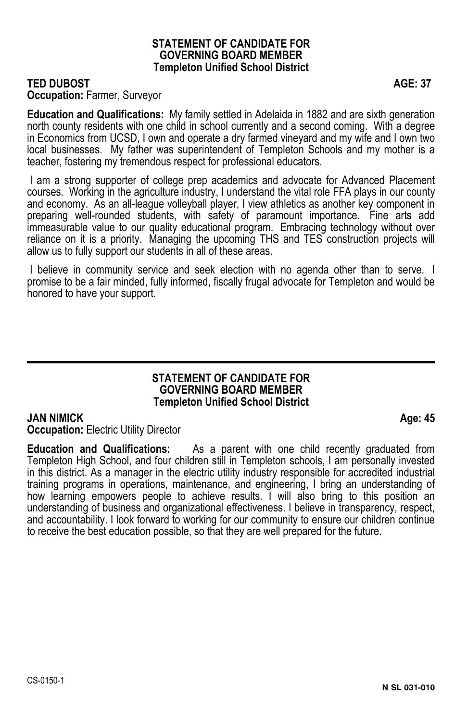#### **STATEMENT OF CANDIDATE FOR GOVERNING BOARD MEMBER Templeton Unified School District**

#### **TED DUBOST AGE: 37**

#### **Occupation:** Farmer, Surveyor

**Education and Qualifications:** My family settled in Adelaida in 1882 and are sixth generation north county residents with one child in school currently and a second coming. With a degree in Economics from UCSD, I own and operate a dry farmed vineyard and my wife and I own two local businesses. My father was superintendent of Templeton Schools and my mother is a teacher, fostering my tremendous respect for professional educators.

 I am a strong supporter of college prep academics and advocate for Advanced Placement courses. Working in the agriculture industry, I understand the vital role FFA plays in our county and economy. As an all-league volleyball player, I view athletics as another key component in preparing well-rounded students, with safety of paramount importance. Fine arts add immeasurable value to our quality educational program. Embracing technology without over reliance on it is a priority. Managing the upcoming THS and TES construction projects will allow us to fully support our students in all of these areas.

 I believe in community service and seek election with no agenda other than to serve. I promise to be a fair minded, fully informed, fiscally frugal advocate for Templeton and would be honored to have your support.

#### **STATEMENT OF CANDIDATE FOR GOVERNING BOARD MEMBER Templeton Unified School District**

#### **JAN NIMICK** Age: 45

**Occupation: Electric Utility Director** 

**Education and Qualifications:** As a parent with one child recently graduated from Templeton High School, and four children still in Templeton schools, I am personally invested in this district. As a manager in the electric utility industry responsible for accredited industrial training programs in operations, maintenance, and engineering, I bring an understanding of how learning empowers people to achieve results. I will also bring to this position an understanding of business and organizational effectiveness. I believe in transparency, respect, and accountability. I look forward to working for our community to ensure our children continue to receive the best education possible, so that they are well prepared for the future.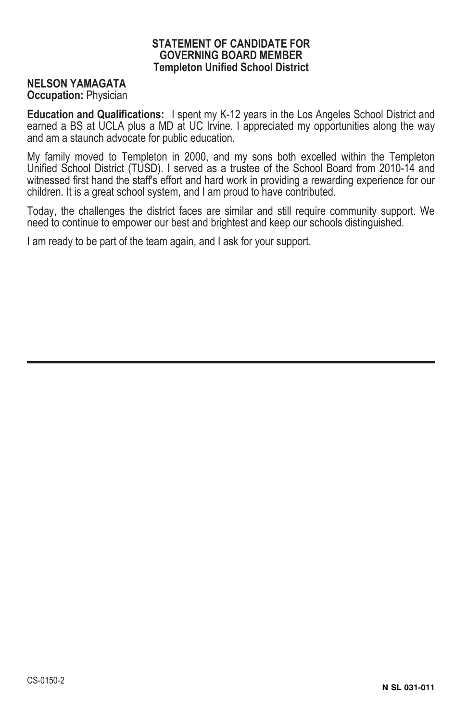#### **STATEMENT OF CANDIDATE FOR GOVERNING BOARD MEMBER Templeton Unified School District**

#### **NELSON YAMAGATA**

**Occupation:** Physician

**Education and Qualifications:** I spent my K-12 years in the Los Angeles School District and earned a BS at UCLA plus a MD at UC Irvine. I appreciated my opportunities along the way and am a staunch advocate for public education.

My family moved to Templeton in 2000, and my sons both excelled within the Templeton Unified School District (TUSD). I served as a trustee of the School Board from 2010-14 and witnessed first hand the staff's effort and hard work in providing a rewarding experience for our children. It is a great school system, and I am proud to have contributed.

Today, the challenges the district faces are similar and still require community support. We need to continue to empower our best and brightest and keep our schools distinguished.

I am ready to be part of the team again, and I ask for your support.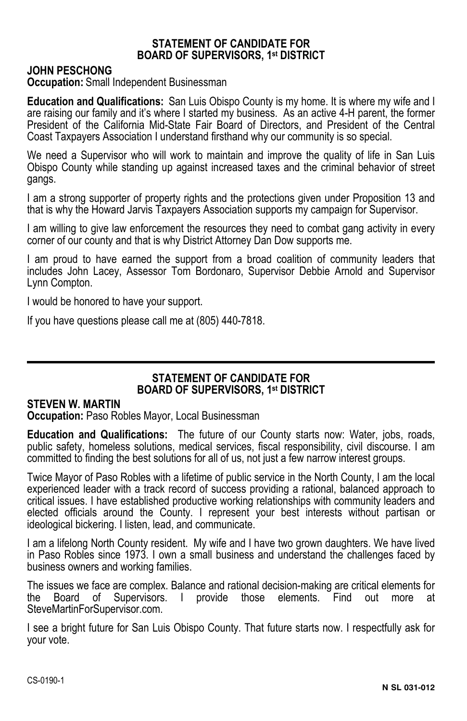#### **STATEMENT OF CANDIDATE FOR BOARD OF SUPERVISORS, 1st DISTRICT**

#### **JOHN PESCHONG**

**Occupation:** Small Independent Businessman

**Education and Qualifications:** San Luis Obispo County is my home. It is where my wife and I are raising our family and it's where I started my business. As an active 4-H parent, the former President of the California Mid-State Fair Board of Directors, and President of the Central Coast Taxpayers Association I understand firsthand why our community is so special.

We need a Supervisor who will work to maintain and improve the quality of life in San Luis Obispo County while standing up against increased taxes and the criminal behavior of street gangs.

I am a strong supporter of property rights and the protections given under Proposition 13 and that is why the Howard Jarvis Taxpayers Association supports my campaign for Supervisor.

I am willing to give law enforcement the resources they need to combat gang activity in every corner of our county and that is why District Attorney Dan Dow supports me.

I am proud to have earned the support from a broad coalition of community leaders that includes John Lacey, Assessor Tom Bordonaro, Supervisor Debbie Arnold and Supervisor Lynn Compton.

I would be honored to have your support.

If you have questions please call me at (805) 440-7818.

#### **STATEMENT OF CANDIDATE FOR BOARD OF SUPERVISORS, 1st DISTRICT**

#### **STEVEN W. MARTIN**

**Occupation:** Paso Robles Mayor, Local Businessman

**Education and Qualifications:** The future of our County starts now: Water, jobs, roads, public safety, homeless solutions, medical services, fiscal responsibility, civil discourse. I am committed to finding the best solutions for all of us, not just a few narrow interest groups.

Twice Mayor of Paso Robles with a lifetime of public service in the North County, I am the local experienced leader with a track record of success providing a rational, balanced approach to critical issues. I have established productive working relationships with community leaders and elected officials around the County. I represent your best interests without partisan or ideological bickering. I listen, lead, and communicate.

I am a lifelong North County resident. My wife and I have two grown daughters. We have lived in Paso Robles since 1973. I own a small business and understand the challenges faced by business owners and working families.

The issues we face are complex. Balance and rational decision-making are critical elements for the Board of Supervisors. I provide those elements. Find out more at SteveMartinForSupervisor.com.

I see a bright future for San Luis Obispo County. That future starts now. I respectfully ask for your vote.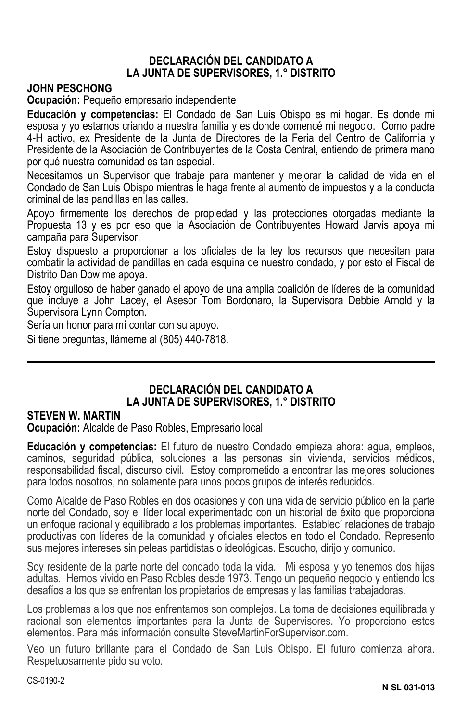#### **DECLARACIÓN DEL CANDIDATO A LA JUNTA DE SUPERVISORES, 1.° DISTRITO**

#### **JOHN PESCHONG**

**Ocupación:** Pequeño empresario independiente

**Educación y competencias:** El Condado de San Luis Obispo es mi hogar. Es donde mi esposa y yo estamos criando a nuestra familia y es donde comencé mi negocio. Como padre 4-H activo, ex Presidente de la Junta de Directores de la Feria del Centro de California y Presidente de la Asociación de Contribuyentes de la Costa Central, entiendo de primera mano por qué nuestra comunidad es tan especial.

Necesitamos un Supervisor que trabaje para mantener y mejorar la calidad de vida en el Condado de San Luis Obispo mientras le haga frente al aumento de impuestos y a la conducta criminal de las pandillas en las calles.

Apoyo firmemente los derechos de propiedad y las protecciones otorgadas mediante la Propuesta 13 y es por eso que la Asociación de Contribuyentes Howard Jarvis apoya mi campaña para Supervisor.

Estoy dispuesto a proporcionar a los oficiales de la ley los recursos que necesitan para combatir la actividad de pandillas en cada esquina de nuestro condado, y por esto el Fiscal de Distrito Dan Dow me apoya.

Estoy orgulloso de haber ganado el apoyo de una amplia coalición de líderes de la comunidad que incluye a John Lacey, el Asesor Tom Bordonaro, la Supervisora Debbie Arnold y la Supervisora Lynn Compton.

Sería un honor para mí contar con su apoyo.

Si tiene preguntas, llámeme al (805) 440-7818.

#### **DECLARACIÓN DEL CANDIDATO A LA JUNTA DE SUPERVISORES, 1.° DISTRITO**

#### **STEVEN W. MARTIN**

**Ocupación:** Alcalde de Paso Robles, Empresario local

**Educación y competencias:** El futuro de nuestro Condado empieza ahora: agua, empleos, caminos, seguridad pública, soluciones a las personas sin vivienda, servicios médicos, responsabilidad fiscal, discurso civil. Estoy comprometido a encontrar las mejores soluciones para todos nosotros, no solamente para unos pocos grupos de interés reducidos.

Como Alcalde de Paso Robles en dos ocasiones y con una vida de servicio público en la parte norte del Condado, soy el líder local experimentado con un historial de éxito que proporciona un enfoque racional y equilibrado a los problemas importantes. Establecí relaciones de trabajo productivas con líderes de la comunidad y oficiales electos en todo el Condado. Represento sus mejores intereses sin peleas partidistas o ideológicas. Escucho, dirijo y comunico.

Soy residente de la parte norte del condado toda la vida. Mi esposa y yo tenemos dos hijas adultas. Hemos vivido en Paso Robles desde 1973. Tengo un pequeño negocio y entiendo los desafíos a los que se enfrentan los propietarios de empresas y las familias trabajadoras.

Los problemas a los que nos enfrentamos son complejos. La toma de decisiones equilibrada y racional son elementos importantes para la Junta de Supervisores. Yo proporciono estos elementos. Para más información consulte SteveMartinForSupervisor.com.

Veo un futuro brillante para el Condado de San Luis Obispo. El futuro comienza ahora. Respetuosamente pido su voto.

CS-0190-2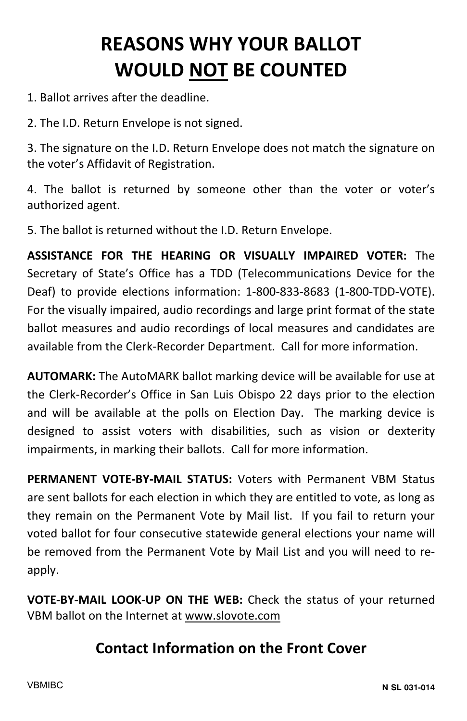## **REASONS WHY YOUR BALLOT WOULD NOT BE COUNTED**

- 1. Ballot arrives after the deadline.
- 2. The I.D. Return Envelope is not signed.

3. The signature on the I.D. Return Envelope does not match the signature on the voter's Affidavit of Registration.

4. The ballot is returned by someone other than the voter or voter's authorized agent.

5. The ballot is returned without the I.D. Return Envelope.

**ASSISTANCE FOR THE HEARING OR VISUALLY IMPAIRED VOTER:** The Secretary of State's Office has a TDD (Telecommunications Device for the Deaf) to provide elections information: 1-800-833-8683 (1-800-TDD-VOTE). For the visually impaired, audio recordings and large print format of the state ballot measures and audio recordings of local measures and candidates are available from the Clerk-Recorder Department. Call for more information.

**AUTOMARK:** The AutoMARK ballot marking device will be available for use at the Clerk-Recorder's Office in San Luis Obispo 22 days prior to the election and will be available at the polls on Election Day. The marking device is designed to assist voters with disabilities, such as vision or dexterity impairments, in marking their ballots. Call for more information.

**PERMANENT VOTE-BY-MAIL STATUS:** Voters with Permanent VBM Status are sent ballots for each election in which they are entitled to vote, as long as they remain on the Permanent Vote by Mail list. If you fail to return your voted ballot for four consecutive statewide general elections your name will be removed from the Permanent Vote by Mail List and you will need to reapply.

**VOTE-BY-MAIL LOOK-UP ON THE WEB:** Check the status of your returned VBM ballot on the Internet at www.slovote.com

### **Contact Information on the Front Cover**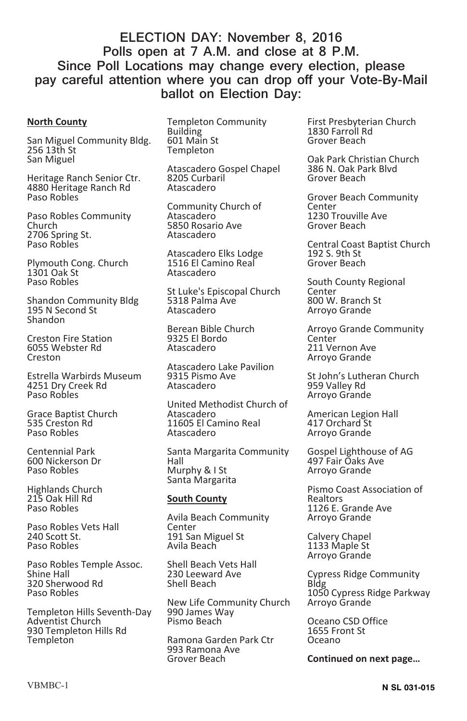#### **ELECTION DAY: November 8, 2016 Polls open at 7 A.M. and close at 8 P.M. Since Poll Locations may change every election, please pay careful attention where you can drop off your Vote-By-Mail ballot on Election Day:**

#### **North County**

San Miguel Community Bldg. 256 13th St San Miguel

Heritage Ranch Senior Ctr. 4880 Heritage Ranch Rd Paso Robles

Paso Robles Community Church 2706 Spring St. Paso Robles

Plymouth Cong. Church 1301 Oak St Paso Robles

Shandon Community Bldg 195 N Second St Shandon

Creston Fire Station 6055 Webster Rd Creston

Estrella Warbirds Museum 4251 Dry Creek Rd Paso Robles

Grace Baptist Church 535 Creston Rd Paso Robles

Centennial Park 600 Nickerson Dr Paso Robles

Highlands Church 215 Oak Hill Rd Paso Robles

Paso Robles Vets Hall 240 Scott St. Paso Robles

Paso Robles Temple Assoc. Shine Hall 320 Sherwood Rd Paso Robles

Templeton Hills Seventh-Day Adventist Church 930 Templeton Hills Rd **Templeton** 

Templeton Community Building 601 Main St Templeton

Atascadero Gospel Chapel 8205 Curbaril Atascadero

Community Church of Atascadero 5850 Rosario Ave Atascadero

Atascadero Elks Lodge 1516 El Camino Real Atascadero

St Luke's Episcopal Church 5318 Palma Ave Atascadero

Berean Bible Church 9325 El Bordo Atascadero

Atascadero Lake Pavilion 9315 Pismo Ave Atascadero

United Methodist Church of Atascadero 11605 El Camino Real Atascadero

Santa Margarita Community Hall Murphy & I St Santa Margarita

#### **South County**

Avila Beach Community **Center** 191 San Miguel St Avila Beach

Shell Beach Vets Hall 230 Leeward Ave Shell Beach

New Life Community Church 990 James Way Pismo Beach

Ramona Garden Park Ctr 993 Ramona Ave Grover Beach

First Presbyterian Church 1830 Farroll Rd Grover Beach

Oak Park Christian Church 386 N. Oak Park Blvd Grover Beach

Grover Beach Community Center 1230 Trouville Ave Grover Beach

Central Coast Baptist Church 192 S. 9th St Grover Beach

South County Regional Center 800 W. Branch St Arroyo Grande

Arroyo Grande Community **Center** 211 Vernon Ave Arroyo Grande

St John's Lutheran Church 959 Valley Rd Arroyo Grande

American Legion Hall 417 Orchard St Arroyo Grande

Gospel Lighthouse of AG 497 Fair Oaks Ave Arroyo Grande

Pismo Coast Association of Realtors 1126 E. Grande Ave Arroyo Grande

Calvery Chapel 1133 Maple St Arroyo Grande

Cypress Ridge Community Bldg 1050 Cypress Ridge Parkway Arroyo Grande

Oceano CSD Office 1655 Front St Oceano

**Continued on next page…**